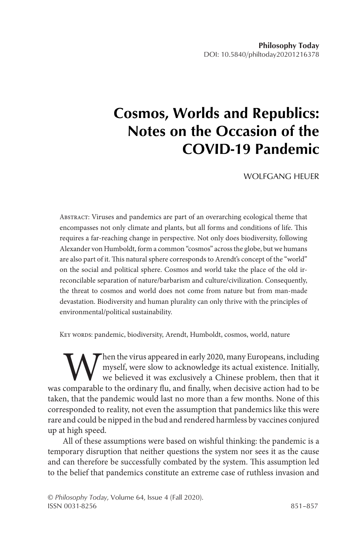# **Cosmos, Worlds and Republics: Notes on the Occasion of the COVID-19 Pandemic**

WOLFGANG HEUER

Abstract: Viruses and pandemics are part of an overarching ecological theme that encompasses not only climate and plants, but all forms and conditions of life. This requires a far-reaching change in perspective. Not only does biodiversity, following Alexander von Humboldt, form a common "cosmos" across the globe, but we humans are also part of it. This natural sphere corresponds to Arendt's concept of the "world" on the social and political sphere. Cosmos and world take the place of the old irreconcilable separation of nature/barbarism and culture/civilization. Consequently, the threat to cosmos and world does not come from nature but from man-made devastation. Biodiversity and human plurality can only thrive with the principles of environmental/political sustainability.

Key words: pandemic, biodiversity, Arendt, Humboldt, cosmos, world, nature

When the virus appeared in early 2020, many Europeans, including<br>myself, were slow to acknowledge its actual existence. Initially,<br>we believed it was exclusively a Chinese problem, then that it<br>comparable to the ordinary f myself, were slow to acknowledge its actual existence. Initially, we believed it was exclusively a Chinese problem, then that it was comparable to the ordinary flu, and finally, when decisive action had to be taken, that the pandemic would last no more than a few months. None of this corresponded to reality, not even the assumption that pandemics like this were rare and could be nipped in the bud and rendered harmless by vaccines conjured up at high speed.

All of these assumptions were based on wishful thinking: the pandemic is a temporary disruption that neither questions the system nor sees it as the cause and can therefore be successfully combated by the system. This assumption led to the belief that pandemics constitute an extreme case of ruthless invasion and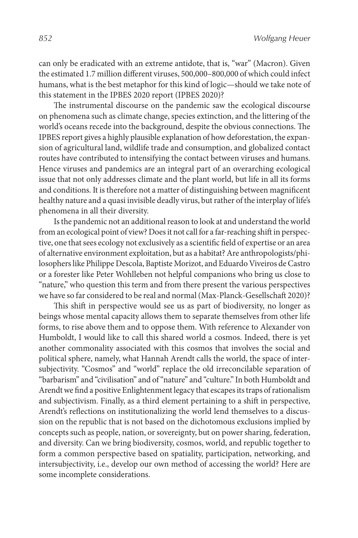can only be eradicated with an extreme antidote, that is, "war" (Macron). Given the estimated 1.7 million different viruses, 500,000–800,000 of which could infect humans, what is the best metaphor for this kind of logic—should we take note of this statement in the IPBES 2020 report (IPBES 2020)?

The instrumental discourse on the pandemic saw the ecological discourse on phenomena such as climate change, species extinction, and the littering of the world's oceans recede into the background, despite the obvious connections. The IPBES report gives a highly plausible explanation of how deforestation, the expansion of agricultural land, wildlife trade and consumption, and globalized contact routes have contributed to intensifying the contact between viruses and humans. Hence viruses and pandemics are an integral part of an overarching ecological issue that not only addresses climate and the plant world, but life in all its forms and conditions. It is therefore not a matter of distinguishing between magnificent healthy nature and a quasi invisible deadly virus, but rather of the interplay of life's phenomena in all their diversity.

Is the pandemic not an additional reason to look at and understand the world from an ecological point of view? Does it not call for a far-reaching shift in perspective, one that sees ecology not exclusively as a scientific field of expertise or an area of alternative environment exploitation, but as a habitat? Are anthropologists/philosophers like Philippe Descola, Baptiste Morizot, and Eduardo Viveiros de Castro or a forester like Peter Wohlleben not helpful companions who bring us close to "nature," who question this term and from there present the various perspectives we have so far considered to be real and normal (Max-Planck-Gesellschaft 2020)?

This shift in perspective would see us as part of biodiversity, no longer as beings whose mental capacity allows them to separate themselves from other life forms, to rise above them and to oppose them. With reference to Alexander von Humboldt, I would like to call this shared world a cosmos. Indeed, there is yet another commonality associated with this cosmos that involves the social and political sphere, namely, what Hannah Arendt calls the world, the space of intersubjectivity. "Cosmos" and "world" replace the old irreconcilable separation of "barbarism" and "civilisation" and of "nature" and "culture." In both Humboldt and Arendt we find a positive Enlightenment legacy that escapes its traps of rationalism and subjectivism. Finally, as a third element pertaining to a shift in perspective, Arendt's reflections on institutionalizing the world lend themselves to a discussion on the republic that is not based on the dichotomous exclusions implied by concepts such as people, nation, or sovereignty, but on power sharing, federation, and diversity. Can we bring biodiversity, cosmos, world, and republic together to form a common perspective based on spatiality, participation, networking, and intersubjectivity, i.e., develop our own method of accessing the world? Here are some incomplete considerations.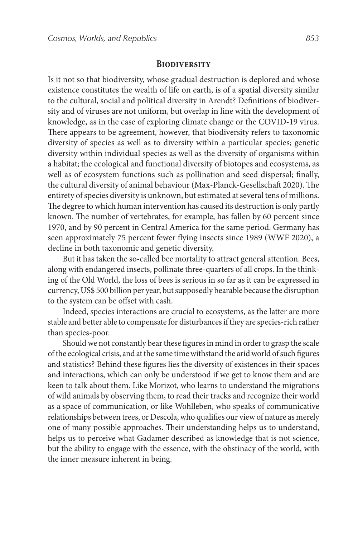#### **Biodiversity**

Is it not so that biodiversity, whose gradual destruction is deplored and whose existence constitutes the wealth of life on earth, is of a spatial diversity similar to the cultural, social and political diversity in Arendt? Definitions of biodiversity and of viruses are not uniform, but overlap in line with the development of knowledge, as in the case of exploring climate change or the COVID-19 virus. There appears to be agreement, however, that biodiversity refers to taxonomic diversity of species as well as to diversity within a particular species; genetic diversity within individual species as well as the diversity of organisms within a habitat; the ecological and functional diversity of biotopes and ecosystems, as well as of ecosystem functions such as pollination and seed dispersal; finally, the cultural diversity of animal behaviour (Max-Planck-Gesellschaft 2020). The entirety of species diversity is unknown, but estimated at several tens of millions. The degree to which human intervention has caused its destruction is only partly known. The number of vertebrates, for example, has fallen by 60 percent since 1970, and by 90 percent in Central America for the same period. Germany has seen approximately 75 percent fewer flying insects since 1989 (WWF 2020), a decline in both taxonomic and genetic diversity.

But it has taken the so-called bee mortality to attract general attention. Bees, along with endangered insects, pollinate three-quarters of all crops. In the thinking of the Old World, the loss of bees is serious in so far as it can be expressed in currency, US\$ 500 billion per year, but supposedly bearable because the disruption to the system can be offset with cash.

Indeed, species interactions are crucial to ecosystems, as the latter are more stable and better able to compensate for disturbances if they are species-rich rather than species-poor.

Should we not constantly bear these figures in mind in order to grasp the scale of the ecological crisis, and at the same time withstand the arid world of such figures and statistics? Behind these figures lies the diversity of existences in their spaces and interactions, which can only be understood if we get to know them and are keen to talk about them. Like Morizot, who learns to understand the migrations of wild animals by observing them, to read their tracks and recognize their world as a space of communication, or like Wohlleben, who speaks of communicative relationships between trees, or Descola, who qualifies our view of nature as merely one of many possible approaches. Their understanding helps us to understand, helps us to perceive what Gadamer described as knowledge that is not science, but the ability to engage with the essence, with the obstinacy of the world, with the inner measure inherent in being.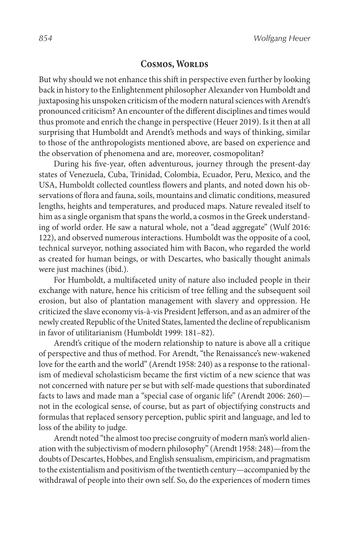## **COSMOS, WORLDS**

But why should we not enhance this shift in perspective even further by looking back in history to the Enlightenment philosopher Alexander von Humboldt and juxtaposing his unspoken criticism of the modern natural sciences with Arendt's pronounced criticism? An encounter of the different disciplines and times would thus promote and enrich the change in perspective (Heuer 2019). Is it then at all surprising that Humboldt and Arendt's methods and ways of thinking, similar to those of the anthropologists mentioned above, are based on experience and the observation of phenomena and are, moreover, cosmopolitan?

During his five-year, often adventurous, journey through the present-day states of Venezuela, Cuba, Trinidad, Colombia, Ecuador, Peru, Mexico, and the USA, Humboldt collected countless flowers and plants, and noted down his observations of flora and fauna, soils, mountains and climatic conditions, measured lengths, heights and temperatures, and produced maps. Nature revealed itself to him as a single organism that spans the world, a cosmos in the Greek understanding of world order. He saw a natural whole, not a "dead aggregate" (Wulf 2016: 122), and observed numerous interactions. Humboldt was the opposite of a cool, technical surveyor, nothing associated him with Bacon, who regarded the world as created for human beings, or with Descartes, who basically thought animals were just machines (ibid.).

For Humboldt, a multifaceted unity of nature also included people in their exchange with nature, hence his criticism of tree felling and the subsequent soil erosion, but also of plantation management with slavery and oppression. He criticized the slave economy vis-à-vis President Jefferson, and as an admirer of the newly created Republic of the United States, lamented the decline of republicanism in favor of utilitarianism (Humboldt 1999: 181–82).

Arendt's critique of the modern relationship to nature is above all a critique of perspective and thus of method. For Arendt, "the Renaissance's new-wakened love for the earth and the world" (Arendt 1958: 240) as a response to the rationalism of medieval scholasticism became the first victim of a new science that was not concerned with nature per se but with self-made questions that subordinated facts to laws and made man a "special case of organic life" (Arendt 2006: 260) not in the ecological sense, of course, but as part of objectifying constructs and formulas that replaced sensory perception, public spirit and language, and led to loss of the ability to judge.

Arendt noted "the almost too precise congruity of modern man's world alienation with the subjectivism of modern philosophy" (Arendt 1958: 248)—from the doubts of Descartes, Hobbes, and English sensualism, empiricism, and pragmatism to the existentialism and positivism of the twentieth century—accompanied by the withdrawal of people into their own self. So, do the experiences of modern times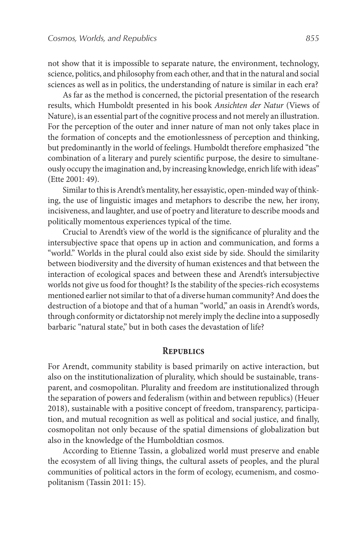not show that it is impossible to separate nature, the environment, technology, science, politics, and philosophy from each other, and that in the natural and social sciences as well as in politics, the understanding of nature is similar in each era?

As far as the method is concerned, the pictorial presentation of the research results, which Humboldt presented in his book *Ansichten der Natur* (Views of Nature), is an essential part of the cognitive process and not merely an illustration. For the perception of the outer and inner nature of man not only takes place in the formation of concepts and the emotionlessness of perception and thinking, but predominantly in the world of feelings. Humboldt therefore emphasized "the combination of a literary and purely scientific purpose, the desire to simultaneously occupy the imagination and, by increasing knowledge, enrich life with ideas" (Ette 2001: 49).

Similar to this is Arendt's mentality, her essayistic, open-minded way of thinking, the use of linguistic images and metaphors to describe the new, her irony, incisiveness, and laughter, and use of poetry and literature to describe moods and politically momentous experiences typical of the time.

Crucial to Arendt's view of the world is the significance of plurality and the intersubjective space that opens up in action and communication, and forms a "world." Worlds in the plural could also exist side by side. Should the similarity between biodiversity and the diversity of human existences and that between the interaction of ecological spaces and between these and Arendt's intersubjective worlds not give us food for thought? Is the stability of the species-rich ecosystems mentioned earlier not similar to that of a diverse human community? And does the destruction of a biotope and that of a human "world," an oasis in Arendt's words, through conformity or dictatorship not merely imply the decline into a supposedly barbaric "natural state," but in both cases the devastation of life?

## **Republics**

For Arendt, community stability is based primarily on active interaction, but also on the institutionalization of plurality, which should be sustainable, transparent, and cosmopolitan. Plurality and freedom are institutionalized through the separation of powers and federalism (within and between republics) (Heuer 2018), sustainable with a positive concept of freedom, transparency, participation, and mutual recognition as well as political and social justice, and finally, cosmopolitan not only because of the spatial dimensions of globalization but also in the knowledge of the Humboldtian cosmos.

According to Etienne Tassin, a globalized world must preserve and enable the ecosystem of all living things, the cultural assets of peoples, and the plural communities of political actors in the form of ecology, ecumenism, and cosmopolitanism (Tassin 2011: 15).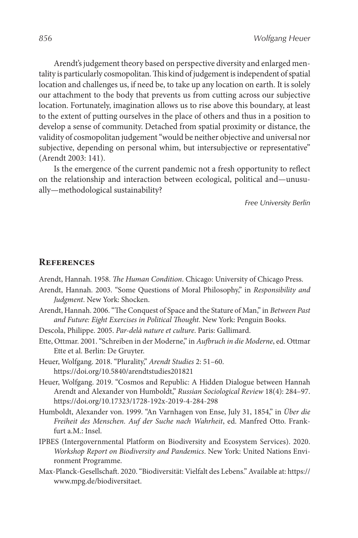Arendt's judgement theory based on perspective diversity and enlarged mentality is particularly cosmopolitan. This kind of judgement is independent of spatial location and challenges us, if need be, to take up any location on earth. It is solely our attachment to the body that prevents us from cutting across our subjective location. Fortunately, imagination allows us to rise above this boundary, at least to the extent of putting ourselves in the place of others and thus in a position to develop a sense of community. Detached from spatial proximity or distance, the validity of cosmopolitan judgement "would be neither objective and universal nor subjective, depending on personal whim, but intersubjective or representative" (Arendt 2003: 141).

Is the emergence of the current pandemic not a fresh opportunity to reflect on the relationship and interaction between ecological, political and—unusually—methodological sustainability?

*Free University Berlin*

#### **References**

Arendt, Hannah. 1958. *The Human Condition*. Chicago: University of Chicago Press.

- Arendt, Hannah. 2003. "Some Questions of Moral Philosophy," in *Responsibility and Judgment*. New York: Shocken.
- Arendt, Hannah. 2006. "The Conquest of Space and the Stature of Man," in *Between Past and Future: Eight Exercises in Political Thought*. New York: Penguin Books.
- Descola, Philippe. 2005. *Par-delà nature et culture*. Paris: Gallimard.
- Ette, Ottmar. 2001. "Schreiben in der Moderne," in *Aufbruch in die Moderne*, ed. Ottmar Ette et al. Berlin: De Gruyter.
- Heuer, Wolfgang. 2018. "Plurality," *Arendt Studies* 2: 51–60. https://doi.org/10.5840/arendtstudies201821
- Heuer, Wolfgang. 2019. "Cosmos and Republic: A Hidden Dialogue between Hannah Arendt and Alexander von Humboldt," *Russian Sociological Review* 18(4): 284–97. https://doi.org/10.17323/1728-192x-2019-4-284-298
- Humboldt, Alexander von. 1999. "An Varnhagen von Ense, July 31, 1854," in *Über die Freiheit des Menschen. Auf der Suche nach Wahrheit*, ed. Manfred Otto. Frankfurt a.M.: Insel.
- IPBES (Intergovernmental Platform on Biodiversity and Ecosystem Services). 2020. *Workshop Report on Biodiversity and Pandemics*. New York: United Nations Environment Programme.
- Max-Planck-Gesellschaft. 2020. "Biodiversität: Vielfalt des Lebens." Available at: https:// www.mpg.de/biodiversitaet.